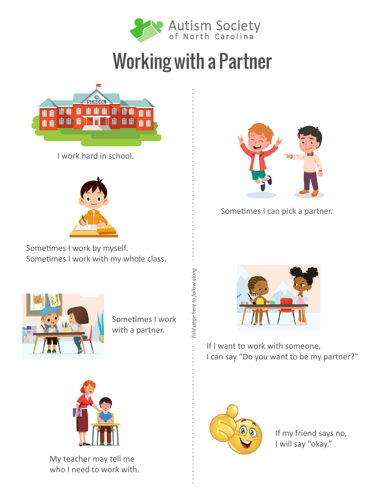

## Working with a Partner



I work hard in school.



Sometimes I work by myself. Sometimes I work with my whole class.





Sometimes I can pick a partner.



Sometimes I work with a partner.



If I want to work with someone, I can say "Do you want to be my partner?"



My teacher may tell me who I need to work with.



If my friend says no, I will say "okay."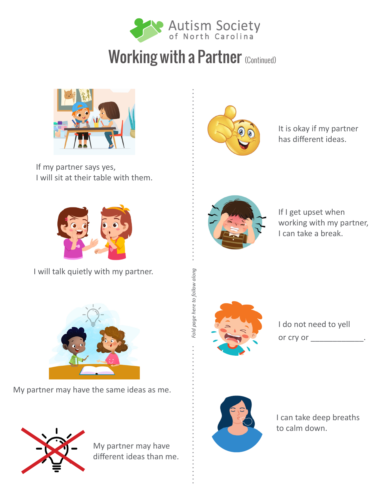

## Working with a Partner (Continued)



If my partner says yes, I will sit at their table with them.



It is okay if my partner has different ideas.



If I get upset when working with my partner, I can take a break.



*Fold page here to follow along*

Fold page here to follow along

I do not need to yell or cry or  $\qquad \qquad$ .



I can take deep breaths to calm down.



I will talk quietly with my partner.



My partner may have the same ideas as me.



My partner may have different ideas than me.